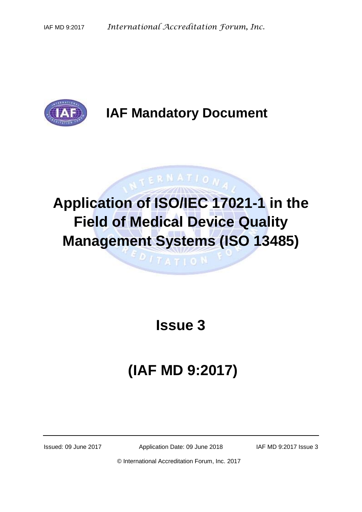

# **IAF Mandatory Document**

# **Application of ISO/IEC 17021-1 in the Field of Medical Device Quality Management Systems (ISO 13485)**

 $\mathbf{p}$  /  $\tau$  a  $\tau$  i o N

**ATERNATION** 

# **Issue 3**

# **(IAF MD 9:2017)**

Issued: 09 June 2017 Application Date: 09 June 2018 IAF MD 9:2017 Issue 3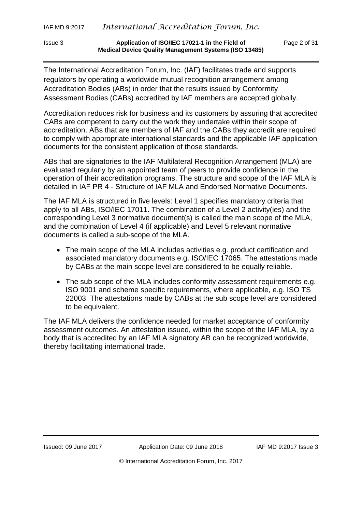The International Accreditation Forum, Inc. (IAF) facilitates trade and supports regulators by operating a worldwide mutual recognition arrangement among Accreditation Bodies (ABs) in order that the results issued by Conformity Assessment Bodies (CABs) accredited by IAF members are accepted globally.

Accreditation reduces risk for business and its customers by assuring that accredited CABs are competent to carry out the work they undertake within their scope of accreditation. ABs that are members of IAF and the CABs they accredit are required to comply with appropriate international standards and the applicable IAF application documents for the consistent application of those standards.

ABs that are signatories to the IAF Multilateral Recognition Arrangement (MLA) are evaluated regularly by an appointed team of peers to provide confidence in the operation of their accreditation programs. The structure and scope of the IAF MLA is detailed in IAF PR 4 - Structure of IAF MLA and Endorsed Normative Documents.

The IAF MLA is structured in five levels: Level 1 specifies mandatory criteria that apply to all ABs, ISO/IEC 17011. The combination of a Level 2 activity(ies) and the corresponding Level 3 normative document(s) is called the main scope of the MLA, and the combination of Level 4 (if applicable) and Level 5 relevant normative documents is called a sub-scope of the MLA.

- The main scope of the MLA includes activities e.g. product certification and associated mandatory documents e.g. ISO/IEC 17065. The attestations made by CABs at the main scope level are considered to be equally reliable.
- The sub scope of the MLA includes conformity assessment requirements e.g. ISO 9001 and scheme specific requirements, where applicable, e.g. ISO TS 22003. The attestations made by CABs at the sub scope level are considered to be equivalent.

The IAF MLA delivers the confidence needed for market acceptance of conformity assessment outcomes. An attestation issued, within the scope of the IAF MLA, by a body that is accredited by an IAF MLA signatory AB can be recognized worldwide, thereby facilitating international trade.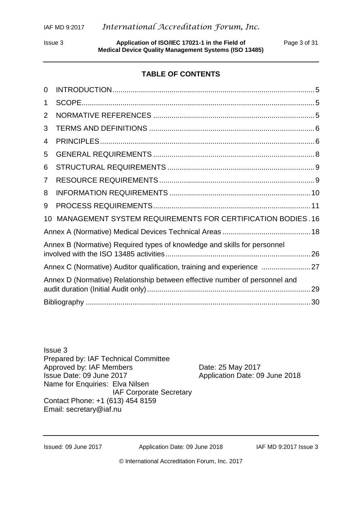Issue 3 **Application of ISO/IEC 17021-1 in the Field of** Page 3 of 31 **Medical Device Quality Management Systems (ISO 13485)**

# **TABLE OF CONTENTS**

| 0              |                                                                            |
|----------------|----------------------------------------------------------------------------|
| 1              |                                                                            |
| $\overline{2}$ |                                                                            |
| 3              |                                                                            |
| 4              |                                                                            |
| 5              |                                                                            |
| 6              |                                                                            |
| 7              |                                                                            |
| 8              |                                                                            |
| 9              |                                                                            |
| 10             | MANAGEMENT SYSTEM REQUIREMENTS FOR CERTIFICATION BODIES. 16                |
|                |                                                                            |
|                | Annex B (Normative) Required types of knowledge and skills for personnel   |
|                | Annex C (Normative) Auditor qualification, training and experience  27     |
|                | Annex D (Normative) Relationship between effective number of personnel and |
|                |                                                                            |

Issue 3 Prepared by: IAF Technical Committee Approved by: IAF Members Date: 25 May 2017 Issue Date: 09 June 2017 Application Date: 09 June 2018 Name for Enquiries: Elva Nilsen IAF Corporate Secretary Contact Phone: +1 (613) 454 8159 Email: [secretary@iaf.nu](mailto:secretary1@iaf.nu)

Issued: 09 June 2017 Application Date: 09 June 2018 IAF MD 9:2017 Issue 3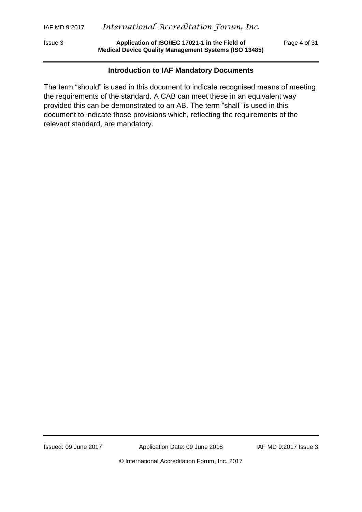Issue 3 **Application of ISO/IEC 17021-1 in the Field of** Page 4 of 31 **Medical Device Quality Management Systems (ISO 13485)**

#### **Introduction to IAF Mandatory Documents**

The term "should" is used in this document to indicate recognised means of meeting the requirements of the standard. A CAB can meet these in an equivalent way provided this can be demonstrated to an AB. The term "shall" is used in this document to indicate those provisions which, reflecting the requirements of the relevant standard, are mandatory.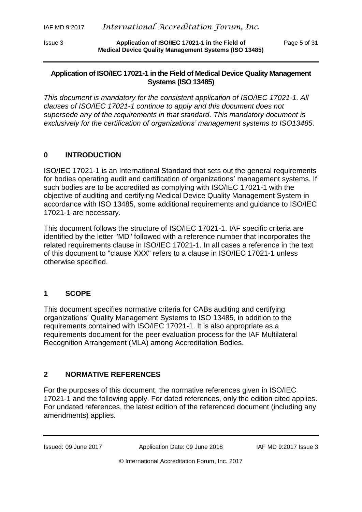Issue 3 **Application of ISO/IEC 17021-1 in the Field of** Page 5 of 31 **Medical Device Quality Management Systems (ISO 13485)**

# **Application of ISO/IEC 17021-1 in the Field of Medical Device Quality Management Systems (ISO 13485)**

*This document is mandatory for the consistent application of ISO/IEC 17021-1. All clauses of ISO/IEC 17021-1 continue to apply and this document does not supersede any of the requirements in that standard. This mandatory document is exclusively for the certification of organizations' management systems to ISO13485.*

# <span id="page-4-0"></span>**0 INTRODUCTION**

ISO/IEC 17021-1 is an International Standard that sets out the general requirements for bodies operating audit and certification of organizations' management systems. If such bodies are to be accredited as complying with ISO/IEC 17021-1 with the objective of auditing and certifying Medical Device Quality Management System in accordance with ISO 13485, some additional requirements and guidance to ISO/IEC 17021-1 are necessary.

This document follows the structure of ISO/IEC 17021-1. IAF specific criteria are identified by the letter "MD" followed with a reference number that incorporates the related requirements clause in ISO/IEC 17021-1. In all cases a reference in the text of this document to "clause XXX" refers to a clause in ISO/IEC 17021-1 unless otherwise specified.

# <span id="page-4-1"></span>**1 SCOPE**

This document specifies normative criteria for CABs auditing and certifying organizations' Quality Management Systems to ISO 13485, in addition to the requirements contained with ISO/IEC 17021-1. It is also appropriate as a requirements document for the peer evaluation process for the IAF Multilateral Recognition Arrangement (MLA) among Accreditation Bodies.

# <span id="page-4-2"></span>**2 NORMATIVE REFERENCES**

For the purposes of this document, the normative references given in ISO/IEC 17021-1 and the following apply. For dated references, only the edition cited applies. For undated references, the latest edition of the referenced document (including any amendments) applies.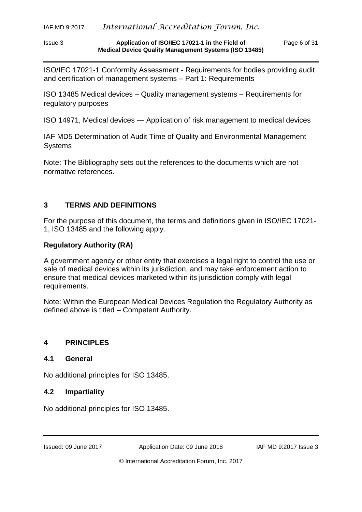Issue 3 **Application of ISO/IEC 17021-1 in the Field of** Page 6 of 31 **Medical Device Quality Management Systems (ISO 13485)**

ISO/IEC 17021-1 Conformity Assessment - Requirements for bodies providing audit and certification of management systems – Part 1: Requirements

ISO 13485 Medical devices – Quality management systems – Requirements for regulatory purposes

ISO 14971, Medical devices — Application of risk management to medical devices

IAF MD5 Determination of Audit Time of Quality and Environmental Management Systems

Note: The Bibliography sets out the references to the documents which are not normative references.

# <span id="page-5-0"></span>**3 TERMS AND DEFINITIONS**

For the purpose of this document, the terms and definitions given in ISO/IEC 17021- 1, ISO 13485 and the following apply.

# **Regulatory Authority (RA)**

A government agency or other entity that exercises a legal right to control the use or sale of medical devices within its jurisdiction, and may take enforcement action to ensure that medical devices marketed within its jurisdiction comply with legal requirements.

Note: Within the European Medical Devices Regulation the Regulatory Authority as defined above is titled – Competent Authority.

# <span id="page-5-1"></span>**4 PRINCIPLES**

# **4.1 General**

No additional principles for ISO 13485.

#### **4.2 Impartiality**

No additional principles for ISO 13485.

Issued: 09 June 2017 Application Date: 09 June 2018 IAF MD 9:2017 Issue 3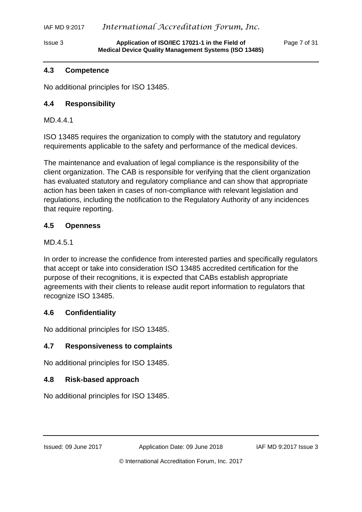#### **4.3 Competence**

No additional principles for ISO 13485.

# **4.4 Responsibility**

MD.4.4.1

ISO 13485 requires the organization to comply with the statutory and regulatory requirements applicable to the safety and performance of the medical devices.

The maintenance and evaluation of legal compliance is the responsibility of the client organization. The CAB is responsible for verifying that the client organization has evaluated statutory and regulatory compliance and can show that appropriate action has been taken in cases of non-compliance with relevant legislation and regulations, including the notification to the Regulatory Authority of any incidences that require reporting.

# **4.5 Openness**

# MD.4.5.1

In order to increase the confidence from interested parties and specifically regulators that accept or take into consideration ISO 13485 accredited certification for the purpose of their recognitions, it is expected that CABs establish appropriate agreements with their clients to release audit report information to regulators that recognize ISO 13485.

# **4.6 Confidentiality**

No additional principles for ISO 13485.

# **4.7 Responsiveness to complaints**

No additional principles for ISO 13485.

# **4.8 Risk-based approach**

No additional principles for ISO 13485.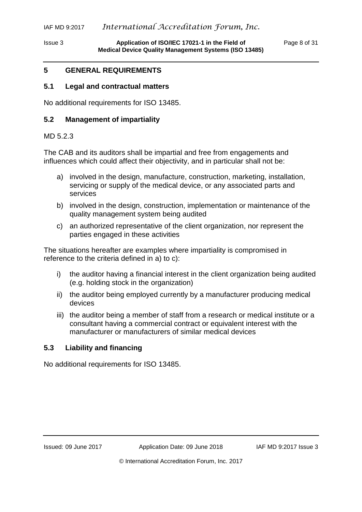# <span id="page-7-0"></span>**5 GENERAL REQUIREMENTS**

#### **5.1 Legal and contractual matters**

No additional requirements for ISO 13485.

#### **5.2 Management of impartiality**

#### MD 5.2.3

The CAB and its auditors shall be impartial and free from engagements and influences which could affect their objectivity, and in particular shall not be:

- a) involved in the design, manufacture, construction, marketing, installation, servicing or supply of the medical device, or any associated parts and services
- b) involved in the design, construction, implementation or maintenance of the quality management system being audited
- c) an authorized representative of the client organization, nor represent the parties engaged in these activities

The situations hereafter are examples where impartiality is compromised in reference to the criteria defined in a) to c):

- i) the auditor having a financial interest in the client organization being audited (e.g. holding stock in the organization)
- ii) the auditor being employed currently by a manufacturer producing medical devices
- iii) the auditor being a member of staff from a research or medical institute or a consultant having a commercial contract or equivalent interest with the manufacturer or manufacturers of similar medical devices

#### **5.3 Liability and financing**

No additional requirements for ISO 13485.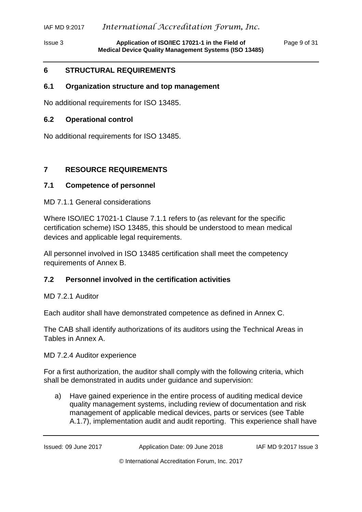# IAF MD 9:2017 *International Accreditation Forum, Inc.*

# <span id="page-8-0"></span>**6 STRUCTURAL REQUIREMENTS**

#### **6.1 Organization structure and top management**

No additional requirements for ISO 13485.

#### **6.2 Operational control**

No additional requirements for ISO 13485.

# <span id="page-8-1"></span>**7 RESOURCE REQUIREMENTS**

# **7.1 Competence of personnel**

#### MD 7.1.1 General considerations

Where ISO/IEC 17021-1 Clause 7.1.1 refers to (as relevant for the specific certification scheme) ISO 13485, this should be understood to mean medical devices and applicable legal requirements.

All personnel involved in ISO 13485 certification shall meet the competency requirements of Annex B.

# **7.2 Personnel involved in the certification activities**

MD 7.2.1 Auditor

Each auditor shall have demonstrated competence as defined in Annex C.

The CAB shall identify authorizations of its auditors using the Technical Areas in Tables in Annex A.

MD 7.2.4 Auditor experience

For a first authorization, the auditor shall comply with the following criteria, which shall be demonstrated in audits under guidance and supervision:

a) Have gained experience in the entire process of auditing medical device quality management systems, including review of documentation and risk management of applicable medical devices, parts or services (see Table A.1.7), implementation audit and audit reporting. This experience shall have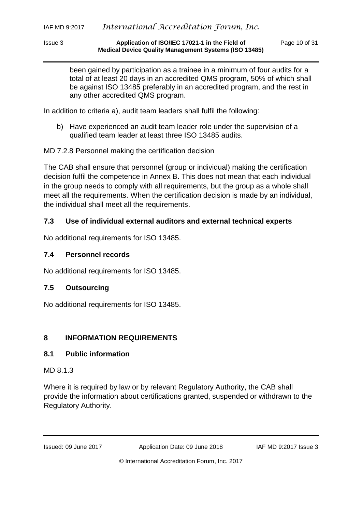#### Issue 3 **Application of ISO/IEC 17021-1 in the Field of** Page 10 of 31 **Medical Device Quality Management Systems (ISO 13485)**

been gained by participation as a trainee in a minimum of four audits for a total of at least 20 days in an accredited QMS program, 50% of which shall be against ISO 13485 preferably in an accredited program, and the rest in any other accredited QMS program.

In addition to criteria a), audit team leaders shall fulfil the following:

b) Have experienced an audit team leader role under the supervision of a qualified team leader at least three ISO 13485 audits.

MD 7.2.8 Personnel making the certification decision

The CAB shall ensure that personnel (group or individual) making the certification decision fulfil the competence in Annex B. This does not mean that each individual in the group needs to comply with all requirements, but the group as a whole shall meet all the requirements. When the certification decision is made by an individual, the individual shall meet all the requirements.

# **7.3 Use of individual external auditors and external technical experts**

No additional requirements for ISO 13485.

# **7.4 Personnel records**

No additional requirements for ISO 13485.

# **7.5 Outsourcing**

No additional requirements for ISO 13485.

# <span id="page-9-0"></span>**8 INFORMATION REQUIREMENTS**

# **8.1 Public information**

MD 8.1.3

Where it is required by law or by relevant Regulatory Authority, the CAB shall provide the information about certifications granted, suspended or withdrawn to the Regulatory Authority.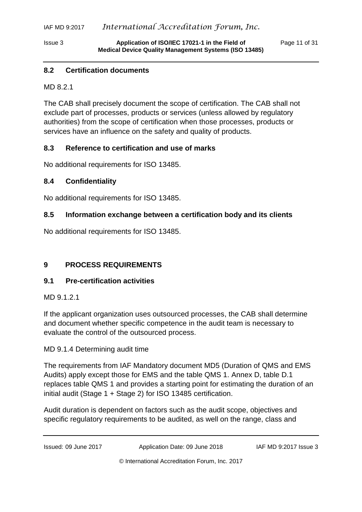# **8.2 Certification documents**

MD 8.2.1

The CAB shall precisely document the scope of certification. The CAB shall not exclude part of processes, products or services (unless allowed by regulatory authorities) from the scope of certification when those processes, products or services have an influence on the safety and quality of products.

# **8.3 Reference to certification and use of marks**

No additional requirements for ISO 13485.

#### **8.4 Confidentiality**

No additional requirements for ISO 13485.

#### **8.5 Information exchange between a certification body and its clients**

No additional requirements for ISO 13485.

# <span id="page-10-0"></span>**9 PROCESS REQUIREMENTS**

#### **9.1 Pre-certification activities**

MD 9.1.2.1

If the applicant organization uses outsourced processes, the CAB shall determine and document whether specific competence in the audit team is necessary to evaluate the control of the outsourced process.

MD 9.1.4 Determining audit time

The requirements from IAF Mandatory document MD5 (Duration of QMS and EMS Audits) apply except those for EMS and the table QMS 1. Annex D, table D.1 replaces table QMS 1 and provides a starting point for estimating the duration of an initial audit (Stage 1 + Stage 2) for ISO 13485 certification.

Audit duration is dependent on factors such as the audit scope, objectives and specific regulatory requirements to be audited, as well on the range, class and

Issued: 09 June 2017 Application Date: 09 June 2018 IAF MD 9:2017 Issue 3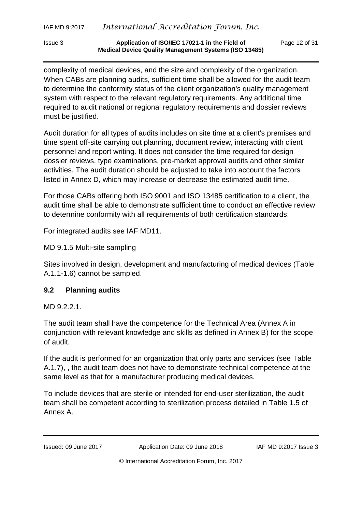complexity of medical devices, and the size and complexity of the organization. When CABs are planning audits, sufficient time shall be allowed for the audit team to determine the conformity status of the client organization's quality management system with respect to the relevant regulatory requirements. Any additional time required to audit national or regional regulatory requirements and dossier reviews must be justified.

Audit duration for all types of audits includes on site time at a client's premises and time spent off-site carrying out planning, document review, interacting with client personnel and report writing. It does not consider the time required for design dossier reviews, type examinations, pre-market approval audits and other similar activities. The audit duration should be adjusted to take into account the factors listed in Annex D, which may increase or decrease the estimated audit time.

For those CABs offering both ISO 9001 and ISO 13485 certification to a client, the audit time shall be able to demonstrate sufficient time to conduct an effective review to determine conformity with all requirements of both certification standards.

For integrated audits see IAF MD11.

MD 9.1.5 Multi-site sampling

Sites involved in design, development and manufacturing of medical devices (Table A.1.1-1.6) cannot be sampled.

# **9.2 Planning audits**

MD 9.2.2.1.

The audit team shall have the competence for the Technical Area (Annex A in conjunction with relevant knowledge and skills as defined in Annex B) for the scope of audit.

If the audit is performed for an organization that only parts and services (see Table A.1.7), , the audit team does not have to demonstrate technical competence at the same level as that for a manufacturer producing medical devices.

To include devices that are sterile or intended for end-user sterilization, the audit team shall be competent according to sterilization process detailed in Table 1.5 of Annex A.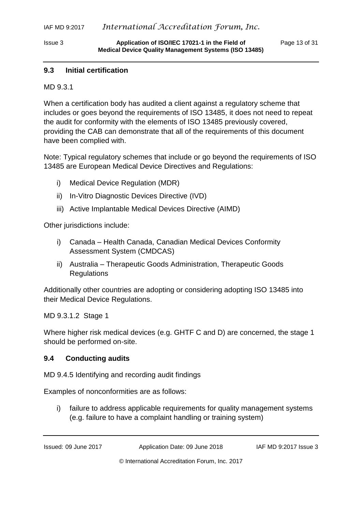# **9.3 Initial certification**

MD 9.3.1

When a certification body has audited a client against a regulatory scheme that includes or goes beyond the requirements of ISO 13485, it does not need to repeat the audit for conformity with the elements of ISO 13485 previously covered, providing the CAB can demonstrate that all of the requirements of this document have been complied with.

Note: Typical regulatory schemes that include or go beyond the requirements of ISO 13485 are European Medical Device Directives and Regulations:

- i) Medical Device Regulation (MDR)
- ii) In-Vitro Diagnostic Devices Directive (IVD)
- iii) Active Implantable Medical Devices Directive (AIMD)

Other jurisdictions include:

- i) Canada Health Canada, Canadian Medical Devices Conformity Assessment System (CMDCAS)
- ii) Australia Therapeutic Goods Administration, Therapeutic Goods Regulations

Additionally other countries are adopting or considering adopting ISO 13485 into their Medical Device Regulations.

MD 9.3.1.2 Stage 1

Where higher risk medical devices (e.g. GHTF C and D) are concerned, the stage 1 should be performed on-site.

#### **9.4 Conducting audits**

MD 9.4.5 Identifying and recording audit findings

Examples of nonconformities are as follows:

i) failure to address applicable requirements for quality management systems (e.g. failure to have a complaint handling or training system)

Issued: 09 June 2017 Application Date: 09 June 2018 IAF MD 9:2017 Issue 3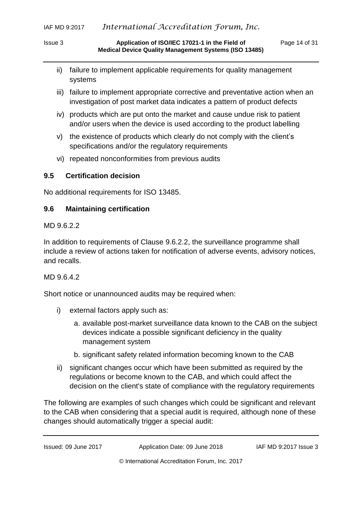Issue 3 **Application of ISO/IEC 17021-1 in the Field of** Page 14 of 31 **Medical Device Quality Management Systems (ISO 13485)**

- ii) failure to implement applicable requirements for quality management systems
- iii) failure to implement appropriate corrective and preventative action when an investigation of post market data indicates a pattern of product defects
- iv) products which are put onto the market and cause undue risk to patient and/or users when the device is used according to the product labelling
- v) the existence of products which clearly do not comply with the client's specifications and/or the regulatory requirements
- vi) repeated nonconformities from previous audits

# **9.5 Certification decision**

No additional requirements for ISO 13485.

# **9.6 Maintaining certification**

MD 9.6.2.2

In addition to requirements of Clause 9.6.2.2, the surveillance programme shall include a review of actions taken for notification of adverse events, advisory notices, and recalls.

# MD 9.6.4.2

Short notice or unannounced audits may be required when:

- i) external factors apply such as:
	- a. available post-market surveillance data known to the CAB on the subject devices indicate a possible significant deficiency in the quality management system
	- b. significant safety related information becoming known to the CAB
- ii) significant changes occur which have been submitted as required by the regulations or become known to the CAB, and which could affect the decision on the client's state of compliance with the regulatory requirements

The following are examples of such changes which could be significant and relevant to the CAB when considering that a special audit is required, although none of these changes should automatically trigger a special audit: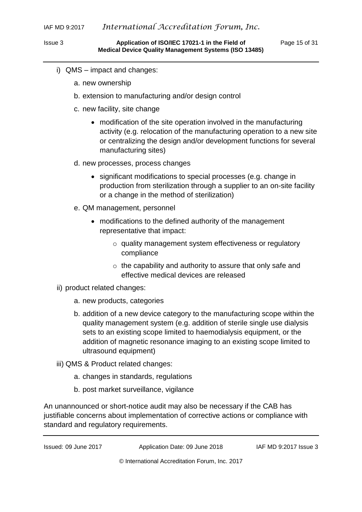- i) QMS impact and changes:
	- a. new ownership
	- b. extension to manufacturing and/or design control
	- c. new facility, site change
		- modification of the site operation involved in the manufacturing activity (e.g. relocation of the manufacturing operation to a new site or centralizing the design and/or development functions for several manufacturing sites)
	- d. new processes, process changes
		- significant modifications to special processes (e.g. change in production from sterilization through a supplier to an on-site facility or a change in the method of sterilization)
	- e. QM management, personnel
		- modifications to the defined authority of the management representative that impact:
			- o quality management system effectiveness or regulatory compliance
			- o the capability and authority to assure that only safe and effective medical devices are released
- ii) product related changes:
	- a. new products, categories
	- b. addition of a new device category to the manufacturing scope within the quality management system (e.g. addition of sterile single use dialysis sets to an existing scope limited to haemodialysis equipment, or the addition of magnetic resonance imaging to an existing scope limited to ultrasound equipment)
- iii) QMS & Product related changes:
	- a. changes in standards, regulations
	- b. post market surveillance, vigilance

An unannounced or short-notice audit may also be necessary if the CAB has justifiable concerns about implementation of corrective actions or compliance with standard and regulatory requirements.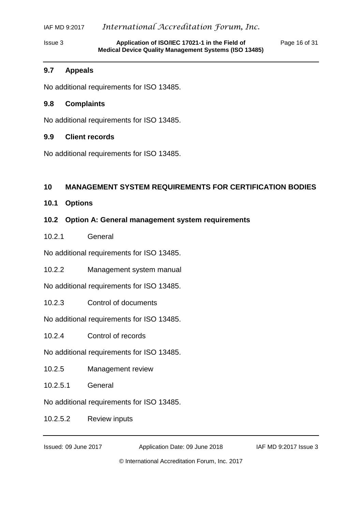# IAF MD 9:2017 *International Accreditation Forum, Inc.*

Issue 3 **Application of ISO/IEC 17021-1 in the Field of** Page 16 of 31 **Medical Device Quality Management Systems (ISO 13485)**

#### **9.7 Appeals**

No additional requirements for ISO 13485.

#### **9.8 Complaints**

No additional requirements for ISO 13485.

# **9.9 Client records**

No additional requirements for ISO 13485.

# <span id="page-15-0"></span>**10 MANAGEMENT SYSTEM REQUIREMENTS FOR CERTIFICATION BODIES**

**10.1 Options**

# **10.2 Option A: General management system requirements**

# 10.2.1 General

No additional requirements for ISO 13485.

10.2.2 Management system manual

No additional requirements for ISO 13485.

10.2.3 Control of documents

No additional requirements for ISO 13485.

10.2.4 Control of records

No additional requirements for ISO 13485.

10.2.5 Management review

10.2.5.1 General

No additional requirements for ISO 13485.

10.2.5.2 Review inputs

Issued: 09 June 2017 Application Date: 09 June 2018 IAF MD 9:2017 Issue 3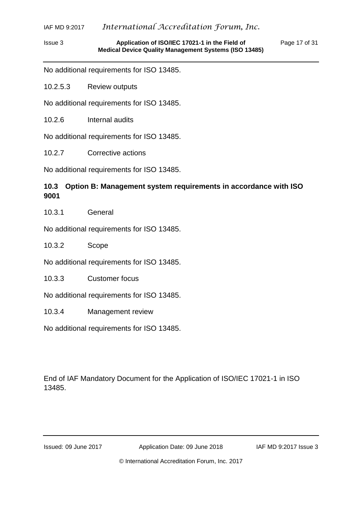#### Issue 3 **Application of ISO/IEC 17021-1 in the Field of** Page 17 of 31 **Medical Device Quality Management Systems (ISO 13485)**

No additional requirements for ISO 13485.

10.2.5.3 Review outputs

No additional requirements for ISO 13485.

10.2.6 Internal audits

No additional requirements for ISO 13485.

10.2.7 Corrective actions

No additional requirements for ISO 13485.

# **10.3 Option B: Management system requirements in accordance with ISO 9001**

10.3.1 General

No additional requirements for ISO 13485.

10.3.2 Scope

No additional requirements for ISO 13485.

10.3.3 Customer focus

No additional requirements for ISO 13485.

10.3.4 Management review

No additional requirements for ISO 13485.

End of IAF Mandatory Document for the Application of ISO/IEC 17021-1 in ISO 13485.

Issued: 09 June 2017 Application Date: 09 June 2018 IAF MD 9:2017 Issue 3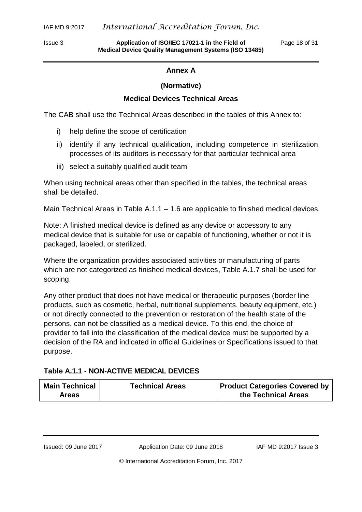<span id="page-17-0"></span>

Issue 3 **Application of ISO/IEC 17021-1 in the Field of** Page 18 of 31 **Medical Device Quality Management Systems (ISO 13485)**

#### **Annex A**

#### **(Normative)**

# **Medical Devices Technical Areas**

The CAB shall use the Technical Areas described in the tables of this Annex to:

- i) help define the scope of certification
- ii) identify if any technical qualification, including competence in sterilization processes of its auditors is necessary for that particular technical area
- iii) select a suitably qualified audit team

When using technical areas other than specified in the tables, the technical areas shall be detailed.

Main Technical Areas in Table A.1.1 – 1.6 are applicable to finished medical devices.

Note: A finished medical device is defined as any device or accessory to any medical device that is suitable for use or capable of functioning, whether or not it is packaged, labeled, or sterilized.

Where the organization provides associated activities or manufacturing of parts which are not categorized as finished medical devices, Table A.1.7 shall be used for scoping.

Any other product that does not have medical or therapeutic purposes (border line products, such as cosmetic, herbal, nutritional supplements, beauty equipment, etc.) or not directly connected to the prevention or restoration of the health state of the persons, can not be classified as a medical device. To this end, the choice of provider to fall into the classification of the medical device must be supported by a decision of the RA and indicated in official Guidelines or Specifications issued to that purpose.

# **Table A.1.1 - NON-ACTIVE MEDICAL DEVICES**

| <b>Main Technical</b> | <b>Technical Areas</b> | <b>Product Categories Covered by</b> |
|-----------------------|------------------------|--------------------------------------|
| <b>Areas</b>          |                        | the Technical Areas                  |

Issued: 09 June 2017 Application Date: 09 June 2018 IAF MD 9:2017 Issue 3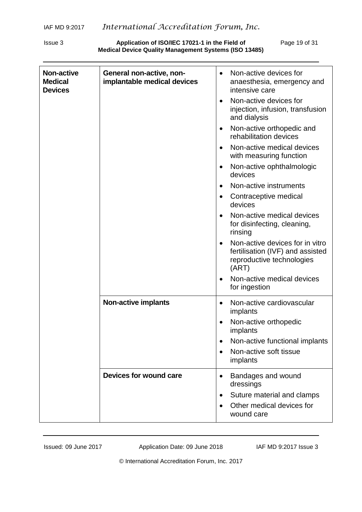Issue 3 **Application of ISO/IEC 17021-1 in the Field of** Page 19 of 31 **Medical Device Quality Management Systems (ISO 13485)**

| <b>Non-active</b><br><b>Medical</b><br><b>Devices</b> | General non-active, non-<br>implantable medical devices | Non-active devices for<br>$\bullet$<br>anaesthesia, emergency and<br>intensive care<br>Non-active devices for<br>$\bullet$<br>injection, infusion, transfusion<br>and dialysis<br>Non-active orthopedic and<br>$\bullet$<br>rehabilitation devices<br>Non-active medical devices<br>$\bullet$<br>with measuring function<br>Non-active ophthalmologic<br>$\bullet$<br>devices<br>Non-active instruments<br>Contraceptive medical<br>$\bullet$<br>devices<br>Non-active medical devices<br>$\bullet$<br>for disinfecting, cleaning,<br>rinsing<br>Non-active devices for in vitro<br>fertilisation (IVF) and assisted<br>reproductive technologies<br>(ART)<br>Non-active medical devices |
|-------------------------------------------------------|---------------------------------------------------------|------------------------------------------------------------------------------------------------------------------------------------------------------------------------------------------------------------------------------------------------------------------------------------------------------------------------------------------------------------------------------------------------------------------------------------------------------------------------------------------------------------------------------------------------------------------------------------------------------------------------------------------------------------------------------------------|
|                                                       | <b>Non-active implants</b>                              | for ingestion<br>Non-active cardiovascular<br>$\bullet$<br>implants<br>Non-active orthopedic<br>implants<br>Non-active functional implants<br>Non-active soft tissue<br>implants                                                                                                                                                                                                                                                                                                                                                                                                                                                                                                         |
|                                                       | Devices for wound care                                  | Bandages and wound<br>$\bullet$<br>dressings<br>Suture material and clamps<br>$\bullet$<br>Other medical devices for<br>$\bullet$<br>wound care                                                                                                                                                                                                                                                                                                                                                                                                                                                                                                                                          |

Issued: 09 June 2017 Application Date: 09 June 2018 IAF MD 9:2017 Issue 3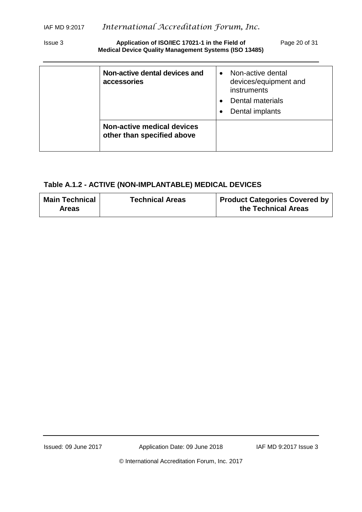Issue 3 **Application of ISO/IEC 17021-1 in the Field of** Page 20 of 31 **Medical Device Quality Management Systems (ISO 13485)**

| Non-active dental devices and<br>accessories             | Non-active dental<br>devices/equipment and<br>instruments<br>Dental materials<br>Dental implants |
|----------------------------------------------------------|--------------------------------------------------------------------------------------------------|
| Non-active medical devices<br>other than specified above |                                                                                                  |

# **Table A.1.2 - ACTIVE (NON-IMPLANTABLE) MEDICAL DEVICES**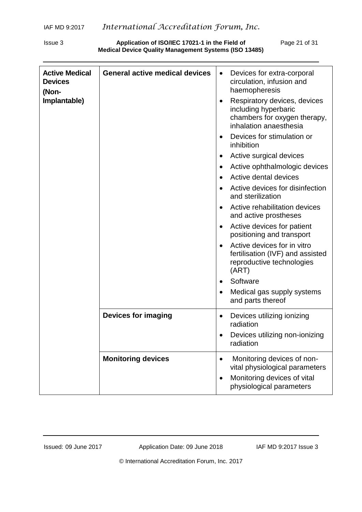Issue 3 **Application of ISO/IEC 17021-1 in the Field of** Page 21 of 31 **Medical Device Quality Management Systems (ISO 13485)**

| <b>Active Medical</b><br><b>Devices</b><br>(Non-<br>Implantable) | <b>General active medical devices</b> | Devices for extra-corporal<br>$\bullet$<br>circulation, infusion and<br>haemopheresis<br>Respiratory devices, devices<br>including hyperbaric<br>chambers for oxygen therapy,<br>inhalation anaesthesia |
|------------------------------------------------------------------|---------------------------------------|---------------------------------------------------------------------------------------------------------------------------------------------------------------------------------------------------------|
|                                                                  |                                       | Devices for stimulation or<br>inhibition                                                                                                                                                                |
|                                                                  |                                       | Active surgical devices<br>$\bullet$                                                                                                                                                                    |
|                                                                  |                                       | Active ophthalmologic devices<br>$\bullet$                                                                                                                                                              |
|                                                                  |                                       | Active dental devices                                                                                                                                                                                   |
|                                                                  |                                       | Active devices for disinfection<br>and sterilization                                                                                                                                                    |
|                                                                  |                                       | Active rehabilitation devices<br>and active prostheses                                                                                                                                                  |
|                                                                  |                                       | Active devices for patient<br>positioning and transport                                                                                                                                                 |
|                                                                  |                                       | Active devices for in vitro<br>$\bullet$<br>fertilisation (IVF) and assisted<br>reproductive technologies<br>(ART)                                                                                      |
|                                                                  |                                       | Software                                                                                                                                                                                                |
|                                                                  |                                       | Medical gas supply systems<br>and parts thereof                                                                                                                                                         |
|                                                                  | <b>Devices for imaging</b>            | Devices utilizing ionizing<br>radiation<br>Devices utilizing non-ionizing<br>radiation                                                                                                                  |
|                                                                  | <b>Monitoring devices</b>             | Monitoring devices of non-<br>$\bullet$<br>vital physiological parameters<br>Monitoring devices of vital<br>physiological parameters                                                                    |

Issued: 09 June 2017 Application Date: 09 June 2018 IAF MD 9:2017 Issue 3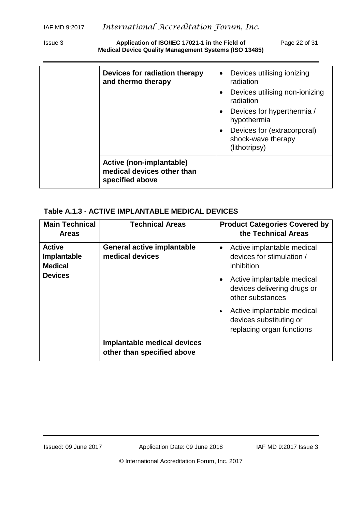Issue 3 **Application of ISO/IEC 17021-1 in the Field of** Page 22 of 31 **Medical Device Quality Management Systems (ISO 13485)**

| Devices for radiation therapy                                             | Devices utilising ionizing<br>$\bullet$                                         |
|---------------------------------------------------------------------------|---------------------------------------------------------------------------------|
| and thermo therapy                                                        | radiation                                                                       |
|                                                                           | Devices utilising non-ionizing<br>$\bullet$<br>radiation                        |
|                                                                           | Devices for hyperthermia /<br>$\bullet$<br>hypothermia                          |
|                                                                           | Devices for (extracorporal)<br>$\bullet$<br>shock-wave therapy<br>(lithotripsy) |
| Active (non-implantable)<br>medical devices other than<br>specified above |                                                                                 |

# **Table A.1.3 - ACTIVE IMPLANTABLE MEDICAL DEVICES**

| <b>Main Technical</b><br><b>Areas</b>                            | <b>Technical Areas</b>                                    | <b>Product Categories Covered by</b><br>the Technical Areas                                                                                                                                                                                               |  |
|------------------------------------------------------------------|-----------------------------------------------------------|-----------------------------------------------------------------------------------------------------------------------------------------------------------------------------------------------------------------------------------------------------------|--|
| <b>Active</b><br>Implantable<br><b>Medical</b><br><b>Devices</b> | <b>General active implantable</b><br>medical devices      | Active implantable medical<br>$\bullet$<br>devices for stimulation /<br>inhibition<br>Active implantable medical<br>devices delivering drugs or<br>other substances<br>Active implantable medical<br>devices substituting or<br>replacing organ functions |  |
|                                                                  | Implantable medical devices<br>other than specified above |                                                                                                                                                                                                                                                           |  |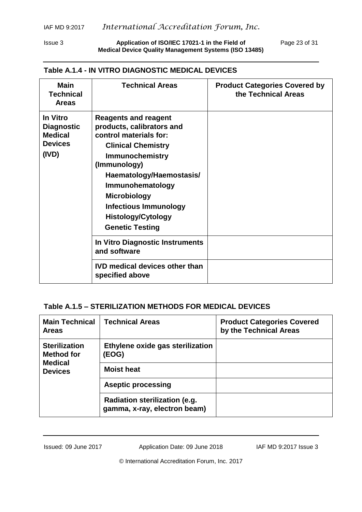Issue 3 **Application of ISO/IEC 17021-1 in the Field of** Page 23 of 31 **Medical Device Quality Management Systems (ISO 13485)**

#### **Table A.1.4 - IN VITRO DIAGNOSTIC MEDICAL DEVICES**

| <b>Main</b><br><b>Technical</b><br><b>Areas</b>                                   | <b>Technical Areas</b>                                                                                                                                                                                                                                                                                                  | <b>Product Categories Covered by</b><br>the Technical Areas |
|-----------------------------------------------------------------------------------|-------------------------------------------------------------------------------------------------------------------------------------------------------------------------------------------------------------------------------------------------------------------------------------------------------------------------|-------------------------------------------------------------|
| <b>In Vitro</b><br><b>Diagnostic</b><br><b>Medical</b><br><b>Devices</b><br>(IVD) | <b>Reagents and reagent</b><br>products, calibrators and<br>control materials for:<br><b>Clinical Chemistry</b><br><b>Immunochemistry</b><br>(Immunology)<br>Haematology/Haemostasis/<br>Immunohematology<br><b>Microbiology</b><br><b>Infectious Immunology</b><br><b>Histology/Cytology</b><br><b>Genetic Testing</b> |                                                             |
|                                                                                   | In Vitro Diagnostic Instruments<br>and software                                                                                                                                                                                                                                                                         |                                                             |
|                                                                                   | <b>IVD medical devices other than</b><br>specified above                                                                                                                                                                                                                                                                |                                                             |

# **Table A.1.5 – STERILIZATION METHODS FOR MEDICAL DEVICES**

| <b>Main Technical</b><br><b>Areas</b>                       | <b>Technical Areas</b>                                        | <b>Product Categories Covered</b><br>by the Technical Areas |
|-------------------------------------------------------------|---------------------------------------------------------------|-------------------------------------------------------------|
| <b>Sterilization</b><br><b>Method for</b><br><b>Medical</b> | Ethylene oxide gas sterilization<br>(EOG)                     |                                                             |
| <b>Devices</b>                                              | <b>Moist heat</b>                                             |                                                             |
|                                                             | <b>Aseptic processing</b>                                     |                                                             |
|                                                             | Radiation sterilization (e.g.<br>gamma, x-ray, electron beam) |                                                             |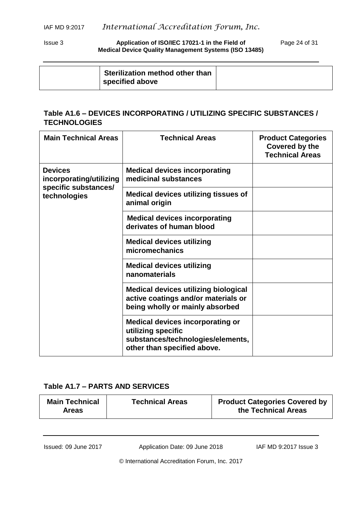#### Issue 3 **Application of ISO/IEC 17021-1 in the Field of** Page 24 of 31 **Medical Device Quality Management Systems (ISO 13485)**

| Sterilization method other than<br>specified above |  |
|----------------------------------------------------|--|

# **Table A1.6 – DEVICES INCORPORATING / UTILIZING SPECIFIC SUBSTANCES / TECHNOLOGIES**

| <b>Main Technical Areas</b>               | <b>Technical Areas</b>                                                                                                            | <b>Product Categories</b><br><b>Covered by the</b><br><b>Technical Areas</b> |
|-------------------------------------------|-----------------------------------------------------------------------------------------------------------------------------------|------------------------------------------------------------------------------|
| <b>Devices</b><br>incorporating/utilizing | <b>Medical devices incorporating</b><br>medicinal substances                                                                      |                                                                              |
| specific substances/<br>technologies      | <b>Medical devices utilizing tissues of</b><br>animal origin                                                                      |                                                                              |
|                                           | <b>Medical devices incorporating</b><br>derivates of human blood                                                                  |                                                                              |
|                                           | <b>Medical devices utilizing</b><br>micromechanics                                                                                |                                                                              |
|                                           | <b>Medical devices utilizing</b><br>nanomaterials                                                                                 |                                                                              |
|                                           | <b>Medical devices utilizing biological</b><br>active coatings and/or materials or<br>being wholly or mainly absorbed             |                                                                              |
|                                           | <b>Medical devices incorporating or</b><br>utilizing specific<br>substances/technologies/elements,<br>other than specified above. |                                                                              |

# **Table A1.7 – PARTS AND SERVICES**

| <b>Main Technical</b><br><b>Areas</b> | <b>Technical Areas</b> | <b>Product Categories Covered by</b><br>the Technical Areas |
|---------------------------------------|------------------------|-------------------------------------------------------------|
|                                       |                        |                                                             |

Issued: 09 June 2017 Application Date: 09 June 2018 IAF MD 9:2017 Issue 3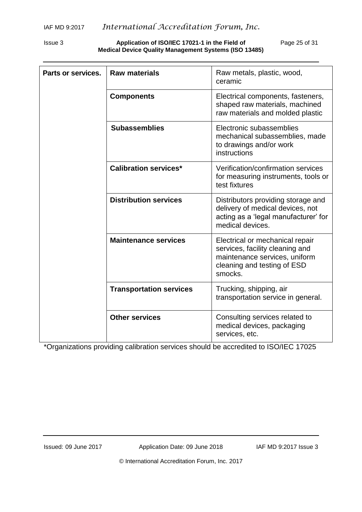Issue 3 **Application of ISO/IEC 17021-1 in the Field of** Page 25 of 31 **Medical Device Quality Management Systems (ISO 13485)**

| Parts or services. | <b>Raw materials</b>           | Raw metals, plastic, wood,<br>ceramic                                                                                                         |  |
|--------------------|--------------------------------|-----------------------------------------------------------------------------------------------------------------------------------------------|--|
|                    | <b>Components</b>              | Electrical components, fasteners,<br>shaped raw materials, machined<br>raw materials and molded plastic                                       |  |
|                    | <b>Subassemblies</b>           | Electronic subassemblies<br>mechanical subassemblies, made<br>to drawings and/or work<br>instructions                                         |  |
|                    | <b>Calibration services*</b>   | Verification/confirmation services<br>for measuring instruments, tools or<br>test fixtures                                                    |  |
|                    | <b>Distribution services</b>   | Distributors providing storage and<br>delivery of medical devices, not<br>acting as a 'legal manufacturer' for<br>medical devices.            |  |
|                    | <b>Maintenance services</b>    | Electrical or mechanical repair<br>services, facility cleaning and<br>maintenance services, uniform<br>cleaning and testing of ESD<br>smocks. |  |
|                    | <b>Transportation services</b> | Trucking, shipping, air<br>transportation service in general.                                                                                 |  |
|                    | <b>Other services</b>          | Consulting services related to<br>medical devices, packaging<br>services, etc.                                                                |  |

\*Organizations providing calibration services should be accredited to ISO/IEC 17025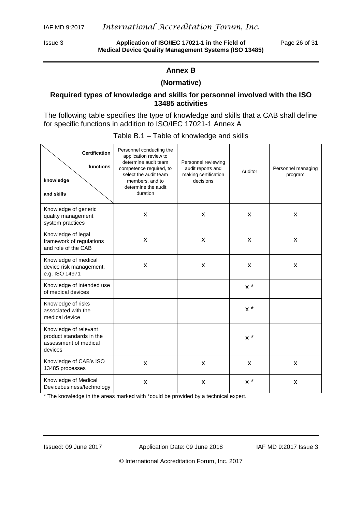Issue 3 **Application of ISO/IEC 17021-1 in the Field of** Page 26 of 31 **Medical Device Quality Management Systems (ISO 13485)**

#### **Annex B**

#### **(Normative)**

#### <span id="page-25-0"></span>**Required types of knowledge and skills for personnel involved with the ISO 13485 activities**

The following table specifies the type of knowledge and skills that a CAB shall define for specific functions in addition to ISO/IEC 17021-1 Annex A

| <b>Certification</b><br>functions<br>knowledge<br>and skills                          | Personnel conducting the<br>application review to<br>determine audit team<br>competence required, to<br>select the audit team<br>members, and to<br>determine the audit<br>duration | Personnel reviewing<br>audit reports and<br>making certification<br>decisions | Auditor             | Personnel managing<br>program |
|---------------------------------------------------------------------------------------|-------------------------------------------------------------------------------------------------------------------------------------------------------------------------------------|-------------------------------------------------------------------------------|---------------------|-------------------------------|
| Knowledge of generic<br>quality management<br>system practices                        | X                                                                                                                                                                                   | X                                                                             | $\mathsf{x}$        | X                             |
| Knowledge of legal<br>framework of regulations<br>and role of the CAB                 | X                                                                                                                                                                                   | X                                                                             | X                   | X                             |
| Knowledge of medical<br>device risk management,<br>e.g. ISO 14971                     | X                                                                                                                                                                                   | X                                                                             | X                   | X                             |
| Knowledge of intended use<br>of medical devices                                       |                                                                                                                                                                                     |                                                                               | $x^*$               |                               |
| Knowledge of risks<br>associated with the<br>medical device                           |                                                                                                                                                                                     |                                                                               | $x^*$               |                               |
| Knowledge of relevant<br>product standards in the<br>assessment of medical<br>devices |                                                                                                                                                                                     |                                                                               | $\times$ $^{\star}$ |                               |
| Knowledge of CAB's ISO<br>13485 processes                                             | X                                                                                                                                                                                   | X                                                                             | X                   | X                             |
| Knowledge of Medical<br>Devicebusiness/technology                                     | X                                                                                                                                                                                   | X                                                                             | $x^*$               | X                             |

#### Table B.1 – Table of knowledge and skills

\* The knowledge in the areas marked with \*could be provided by a technical expert.

Issued: 09 June 2017 Application Date: 09 June 2018 IAF MD 9:2017 Issue 3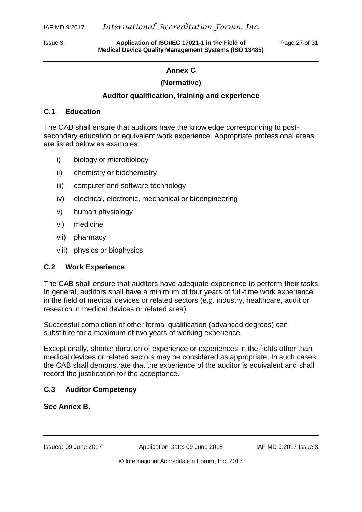<span id="page-26-0"></span>

Issue 3 **Application of ISO/IEC 17021-1 in the Field of** Page 27 of 31 **Medical Device Quality Management Systems (ISO 13485)**

# **Annex C**

# **(Normative)**

#### **Auditor qualification, training and experience**

#### **C.1 Education**

The CAB shall ensure that auditors have the knowledge corresponding to postsecondary education or equivalent work experience. Appropriate professional areas are listed below as examples:

- i) biology or microbiology
- ii) chemistry or biochemistry
- iii) computer and software technology
- iv) electrical, electronic, mechanical or bioengineering
- v) human physiology
- vi) medicine
- vii) pharmacy
- viii) physics or biophysics

#### **C.2 Work Experience**

The CAB shall ensure that auditors have adequate experience to perform their tasks. In general, auditors shall have a minimum of four years of full-time work experience in the field of medical devices or related sectors (e.g. industry, healthcare, audit or research in medical devices or related area).

Successful completion of other formal qualification (advanced degrees) can substitute for a maximum of two years of working experience.

Exceptionally, shorter duration of experience or experiences in the fields other than medical devices or related sectors may be considered as appropriate. In such cases, the CAB shall demonstrate that the experience of the auditor is equivalent and shall record the justification for the acceptance.

# **C.3 Auditor Competency**

#### **See Annex B.**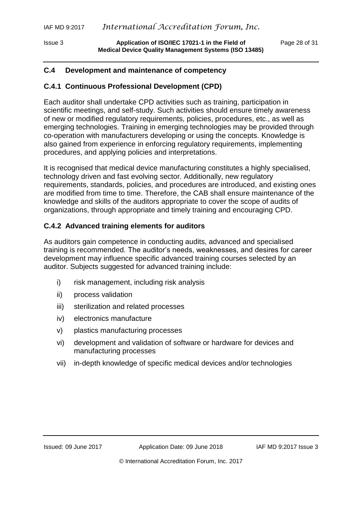# **C.4 Development and maintenance of competency**

# **C.4.1 Continuous Professional Development (CPD)**

Each auditor shall undertake CPD activities such as training, participation in scientific meetings, and self-study. Such activities should ensure timely awareness of new or modified regulatory requirements, policies, procedures, etc., as well as emerging technologies. Training in emerging technologies may be provided through co-operation with manufacturers developing or using the concepts. Knowledge is also gained from experience in enforcing regulatory requirements, implementing procedures, and applying policies and interpretations.

It is recognised that medical device manufacturing constitutes a highly specialised, technology driven and fast evolving sector. Additionally, new regulatory requirements, standards, policies, and procedures are introduced, and existing ones are modified from time to time. Therefore, the CAB shall ensure maintenance of the knowledge and skills of the auditors appropriate to cover the scope of audits of organizations, through appropriate and timely training and encouraging CPD.

# **C.4.2 Advanced training elements for auditors**

As auditors gain competence in conducting audits, advanced and specialised training is recommended. The auditor's needs, weaknesses, and desires for career development may influence specific advanced training courses selected by an auditor. Subjects suggested for advanced training include:

- i) risk management, including risk analysis
- ii) process validation
- iii) sterilization and related processes
- iv) electronics manufacture
- v) plastics manufacturing processes
- vi) development and validation of software or hardware for devices and manufacturing processes
- vii) in-depth knowledge of specific medical devices and/or technologies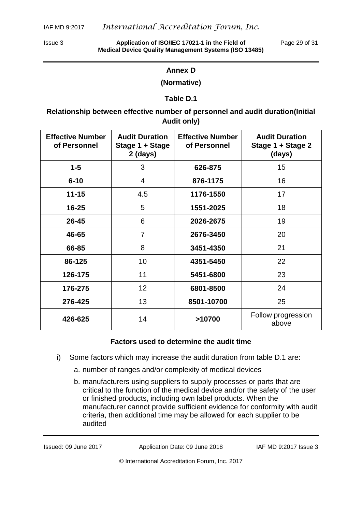<span id="page-28-0"></span>

Issue 3 **Application of ISO/IEC 17021-1 in the Field of** Page 29 of 31 **Medical Device Quality Management Systems (ISO 13485)**

# **Annex D**

#### **(Normative)**

#### **Table D.1**

# **Relationship between effective number of personnel and audit duration(Initial Audit only)**

| <b>Effective Number</b><br>of Personnel | <b>Audit Duration</b><br>Stage 1 + Stage<br>$2$ (days) | <b>Effective Number</b><br>of Personnel | <b>Audit Duration</b><br>Stage 1 + Stage 2<br>(days) |
|-----------------------------------------|--------------------------------------------------------|-----------------------------------------|------------------------------------------------------|
| $1 - 5$                                 | 3                                                      | 626-875                                 | 15                                                   |
| $6 - 10$                                | $\overline{4}$                                         | 876-1175                                | 16                                                   |
| $11 - 15$                               | 4.5                                                    | 1176-1550                               | 17                                                   |
| $16 - 25$                               | 5                                                      | 1551-2025                               | 18                                                   |
| 26-45                                   | 6                                                      | 2026-2675                               | 19                                                   |
| 46-65                                   | 7                                                      | 2676-3450                               | 20                                                   |
| 66-85                                   | 8                                                      | 3451-4350                               | 21                                                   |
| 86-125                                  | 10                                                     | 4351-5450                               | 22                                                   |
| 126-175                                 | 11                                                     | 5451-6800                               | 23                                                   |
| 176-275                                 | 12                                                     | 6801-8500                               | 24                                                   |
| 276-425                                 | 13                                                     | 8501-10700                              | 25                                                   |
| 426-625                                 | 14                                                     | >10700                                  | Follow progression<br>above                          |

#### **Factors used to determine the audit time**

- i) Some factors which may increase the audit duration from table D.1 are:
	- a. number of ranges and/or complexity of medical devices
	- b. manufacturers using suppliers to supply processes or parts that are critical to the function of the medical device and/or the safety of the user or finished products, including own label products. When the manufacturer cannot provide sufficient evidence for conformity with audit criteria, then additional time may be allowed for each supplier to be audited

Issued: 09 June 2017 Application Date: 09 June 2018 IAF MD 9:2017 Issue 3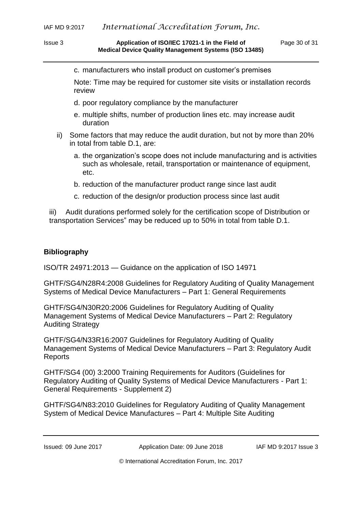c. manufacturers who install product on customer's premises

Note: Time may be required for customer site visits or installation records review

- d. poor regulatory compliance by the manufacturer
- e. multiple shifts, number of production lines etc. may increase audit duration
- ii) Some factors that may reduce the audit duration, but not by more than 20% in total from table D.1, are:
	- a. the organization's scope does not include manufacturing and is activities such as wholesale, retail, transportation or maintenance of equipment, etc.
	- b. reduction of the manufacturer product range since last audit
	- c. reduction of the design/or production process since last audit

iii) Audit durations performed solely for the certification scope of Distribution or transportation Services" may be reduced up to 50% in total from table D.1.

# <span id="page-29-0"></span>**Bibliography**

ISO/TR 24971:2013 — Guidance on the application of ISO 14971

GHTF/SG4/N28R4:2008 Guidelines for Regulatory Auditing of Quality Management Systems of Medical Device Manufacturers – Part 1: General Requirements

GHTF/SG4/N30R20:2006 Guidelines for Regulatory Auditing of Quality Management Systems of Medical Device Manufacturers – Part 2: Regulatory Auditing Strategy

GHTF/SG4/N33R16:2007 Guidelines for Regulatory Auditing of Quality Management Systems of Medical Device Manufacturers – Part 3: Regulatory Audit Reports

GHTF/SG4 (00) 3:2000 Training Requirements for Auditors (Guidelines for Regulatory Auditing of Quality Systems of Medical Device Manufacturers - Part 1: General Requirements - Supplement 2)

GHTF/SG4/N83:2010 Guidelines for Regulatory Auditing of Quality Management System of Medical Device Manufactures – Part 4: Multiple Site Auditing